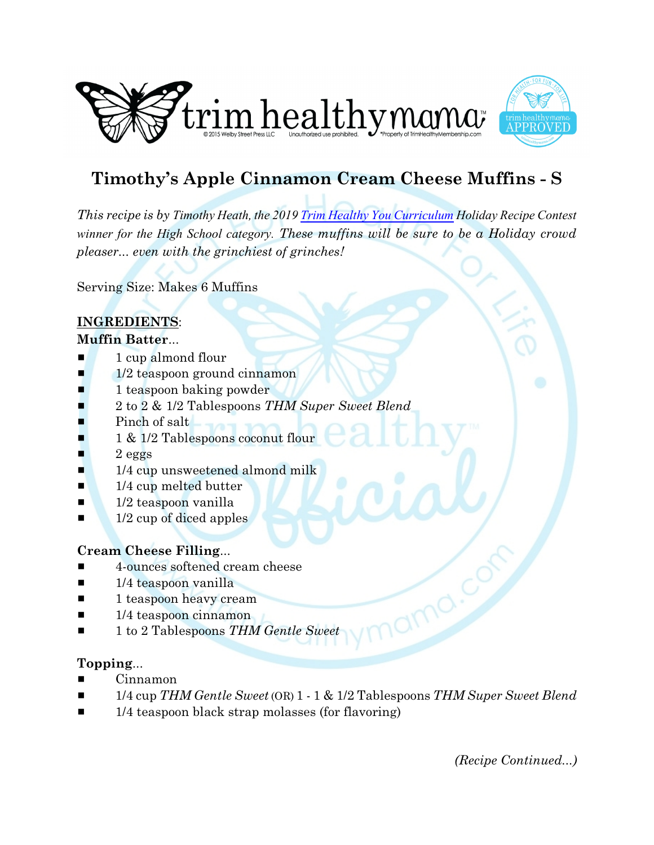



# **Timothy's Apple Cinnamon Cream Cheese Muffins - S**

*This recipe is by Timothy Heath, the 2019 [Trim Healthy You Curriculum](https://trimhealthyyou.net/) Holiday Recipe Contest winner for the High School category. These muffins will be sure to be a Holiday crowd pleaser... even with the grinchiest of grinches!* 

Serving Size: Makes 6 Muffins

# **INGREDIENTS**:

#### **Muffin Batter**...

- $\blacksquare$  1 cup almond flour
- $\blacksquare$  1/2 teaspoon ground cinnamon
- $\blacksquare$  1 teaspoon baking powder
- # 2 to 2 & 1/2 Tablespoons *THM Super Sweet Blend*
- Pinch of salt
- $\blacksquare$  1 & 1/2 Tablespoons coconut flour
- $\blacksquare$  2 eggs
- $\blacksquare$  1/4 cup unsweetened almond milk
- $\blacksquare$  1/4 cup melted butter
- $\blacksquare$  1/2 teaspoon vanilla
- $\blacksquare$  1/2 cup of diced apples

#### **Cream Cheese Filling**...

- $\blacksquare$  4-ounces softened cream cheese
- $\blacksquare$  1/4 teaspoon vanilla
- $\blacksquare$  1 teaspoon heavy cream
- $\blacksquare$  1/4 teaspoon cinnamon
- 1 to 2 Tablespoons *THM Gentle Sweet*

#### **Topping**...

- Cinnamon
- # 1/4 cup *THM Gentle Sweet*(OR) 1 1 & 1/2 Tablespoons *THM Super Sweet Blend*
- $\blacksquare$  1/4 teaspoon black strap molasses (for flavoring)

*(Recipe Continued...)*

amo.c